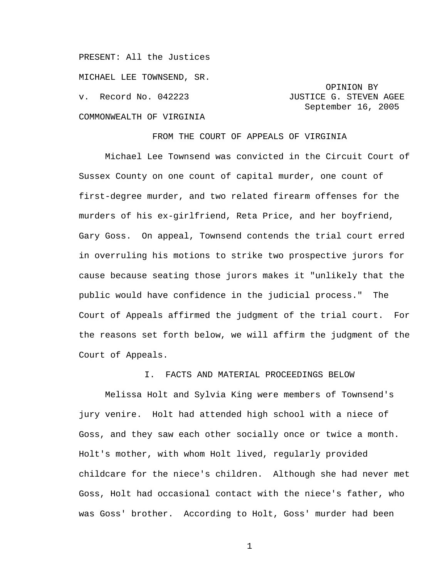PRESENT: All the Justices MICHAEL LEE TOWNSEND, SR. v. Record No. 042223 **JUSTICE G. STEVEN AGEE** COMMONWEALTH OF VIRGINIA

 OPINION BY September 16, 2005

FROM THE COURT OF APPEALS OF VIRGINIA

Michael Lee Townsend was convicted in the Circuit Court of Sussex County on one count of capital murder, one count of first-degree murder, and two related firearm offenses for the murders of his ex-girlfriend, Reta Price, and her boyfriend, Gary Goss. On appeal, Townsend contends the trial court erred in overruling his motions to strike two prospective jurors for cause because seating those jurors makes it "unlikely that the public would have confidence in the judicial process." The Court of Appeals affirmed the judgment of the trial court. For the reasons set forth below, we will affirm the judgment of the Court of Appeals.

## I. FACTS AND MATERIAL PROCEEDINGS BELOW

Melissa Holt and Sylvia King were members of Townsend's jury venire. Holt had attended high school with a niece of Goss, and they saw each other socially once or twice a month. Holt's mother, with whom Holt lived, regularly provided childcare for the niece's children. Although she had never met Goss, Holt had occasional contact with the niece's father, who was Goss' brother. According to Holt, Goss' murder had been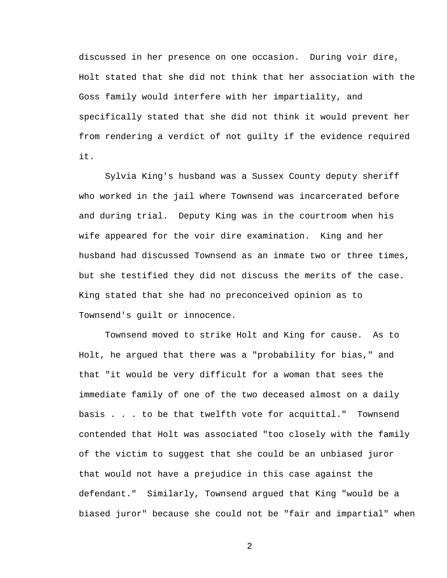discussed in her presence on one occasion. During voir dire, Holt stated that she did not think that her association with the Goss family would interfere with her impartiality, and specifically stated that she did not think it would prevent her from rendering a verdict of not guilty if the evidence required it.

Sylvia King's husband was a Sussex County deputy sheriff who worked in the jail where Townsend was incarcerated before and during trial. Deputy King was in the courtroom when his wife appeared for the voir dire examination. King and her husband had discussed Townsend as an inmate two or three times, but she testified they did not discuss the merits of the case. King stated that she had no preconceived opinion as to Townsend's guilt or innocence.

Townsend moved to strike Holt and King for cause. As to Holt, he argued that there was a "probability for bias," and that "it would be very difficult for a woman that sees the immediate family of one of the two deceased almost on a daily basis . . . to be that twelfth vote for acquittal." Townsend contended that Holt was associated "too closely with the family of the victim to suggest that she could be an unbiased juror that would not have a prejudice in this case against the defendant." Similarly, Townsend argued that King "would be a biased juror" because she could not be "fair and impartial" when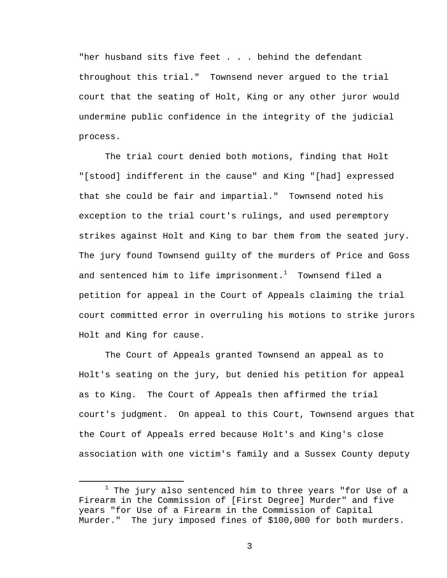"her husband sits five feet . . . behind the defendant throughout this trial." Townsend never argued to the trial court that the seating of Holt, King or any other juror would undermine public confidence in the integrity of the judicial process.

The trial court denied both motions, finding that Holt "[stood] indifferent in the cause" and King "[had] expressed that she could be fair and impartial." Townsend noted his exception to the trial court's rulings, and used peremptory strikes against Holt and King to bar them from the seated jury. The jury found Townsend guilty of the murders of Price and Goss and sentenced him to life imprisonment. $^1$  Townsend filed a petition for appeal in the Court of Appeals claiming the trial court committed error in overruling his motions to strike jurors Holt and King for cause.

The Court of Appeals granted Townsend an appeal as to Holt's seating on the jury, but denied his petition for appeal as to King. The Court of Appeals then affirmed the trial court's judgment. On appeal to this Court, Townsend argues that the Court of Appeals erred because Holt's and King's close association with one victim's family and a Sussex County deputy

<sup>&</sup>lt;u>1</u>  $1$  The jury also sentenced him to three years "for Use of a Firearm in the Commission of [First Degree] Murder" and five years "for Use of a Firearm in the Commission of Capital Murder." The jury imposed fines of \$100,000 for both murders.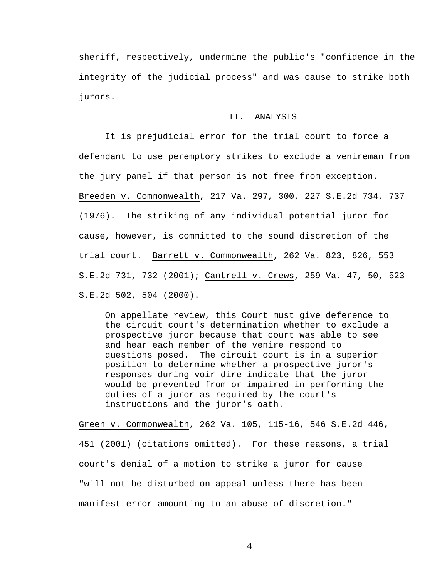sheriff, respectively, undermine the public's "confidence in the integrity of the judicial process" and was cause to strike both jurors.

## II. ANALYSIS

It is prejudicial error for the trial court to force a defendant to use peremptory strikes to exclude a venireman from the jury panel if that person is not free from exception. Breeden v. Commonwealth, 217 Va. 297, 300, 227 S.E.2d 734, 737 (1976). The striking of any individual potential juror for cause, however, is committed to the sound discretion of the trial court. Barrett v. Commonwealth, 262 Va. 823, 826, 553 S.E.2d 731, 732 (2001); Cantrell v. Crews, 259 Va. 47, 50, 523 S.E.2d 502, 504 (2000).

On appellate review, this Court must give deference to the circuit court's determination whether to exclude a prospective juror because that court was able to see and hear each member of the venire respond to questions posed. The circuit court is in a superior position to determine whether a prospective juror's responses during voir dire indicate that the juror would be prevented from or impaired in performing the duties of a juror as required by the court's instructions and the juror's oath.

Green v. Commonwealth, 262 Va. 105, 115-16, 546 S.E.2d 446, 451 (2001) (citations omitted). For these reasons, a trial court's denial of a motion to strike a juror for cause "will not be disturbed on appeal unless there has been manifest error amounting to an abuse of discretion."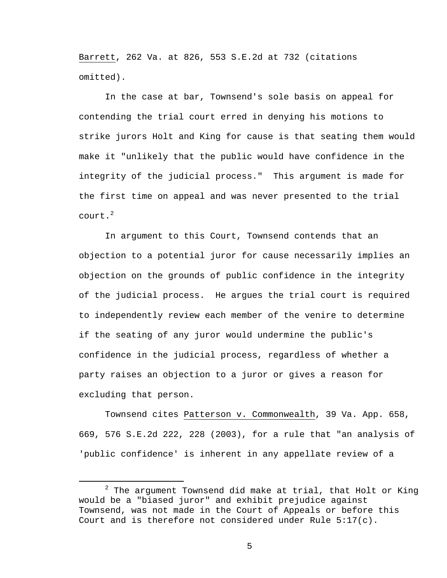Barrett, 262 Va. at 826, 553 S.E.2d at 732 (citations omitted).

In the case at bar, Townsend's sole basis on appeal for contending the trial court erred in denying his motions to strike jurors Holt and King for cause is that seating them would make it "unlikely that the public would have confidence in the integrity of the judicial process." This argument is made for the first time on appeal and was never presented to the trial court. $^2$ 

In argument to this Court, Townsend contends that an objection to a potential juror for cause necessarily implies an objection on the grounds of public confidence in the integrity of the judicial process. He argues the trial court is required to independently review each member of the venire to determine if the seating of any juror would undermine the public's confidence in the judicial process, regardless of whether a party raises an objection to a juror or gives a reason for excluding that person.

Townsend cites Patterson v. Commonwealth, 39 Va. App. 658, 669, 576 S.E.2d 222, 228 (2003), for a rule that "an analysis of 'public confidence' is inherent in any appellate review of a

 <sup>2</sup>  $2$  The argument Townsend did make at trial, that Holt or King would be a "biased juror" and exhibit prejudice against Townsend, was not made in the Court of Appeals or before this Court and is therefore not considered under Rule  $5:17(c)$ .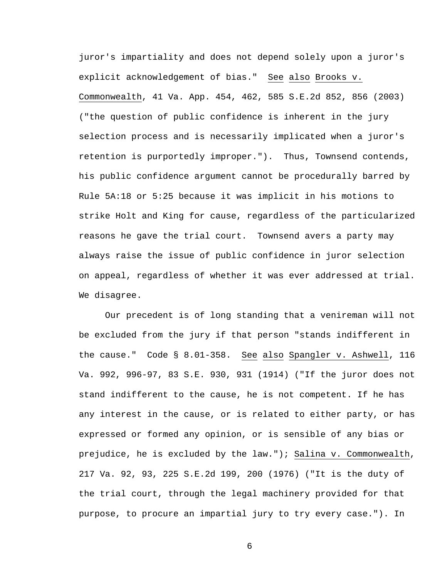juror's impartiality and does not depend solely upon a juror's explicit acknowledgement of bias." See also Brooks v. Commonwealth, 41 Va. App. 454, 462, 585 S.E.2d 852, 856 (2003) ("the question of public confidence is inherent in the jury selection process and is necessarily implicated when a juror's retention is purportedly improper."). Thus, Townsend contends, his public confidence argument cannot be procedurally barred by Rule 5A:18 or 5:25 because it was implicit in his motions to strike Holt and King for cause, regardless of the particularized reasons he gave the trial court. Townsend avers a party may always raise the issue of public confidence in juror selection on appeal, regardless of whether it was ever addressed at trial. We disagree.

Our precedent is of long standing that a venireman will not be excluded from the jury if that person "stands indifferent in the cause." Code § 8.01-358. See also Spangler v. Ashwell, 116 Va. 992, 996-97, 83 S.E. 930, 931 (1914) ("If the juror does not stand indifferent to the cause, he is not competent. If he has any interest in the cause, or is related to either party, or has expressed or formed any opinion, or is sensible of any bias or prejudice, he is excluded by the law."); Salina v. Commonwealth, 217 Va. 92, 93, 225 S.E.2d 199, 200 (1976) ("It is the duty of the trial court, through the legal machinery provided for that purpose, to procure an impartial jury to try every case."). In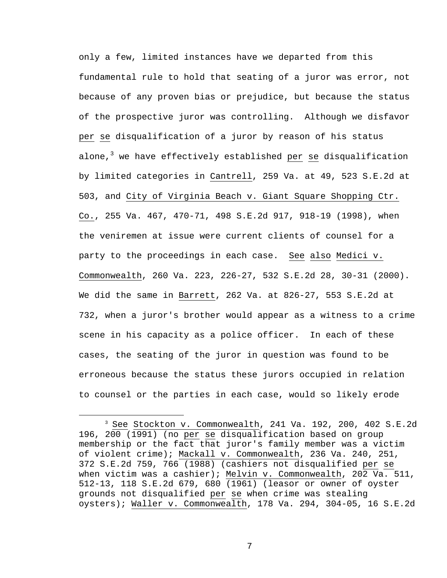only a few, limited instances have we departed from this fundamental rule to hold that seating of a juror was error, not because of any proven bias or prejudice, but because the status of the prospective juror was controlling. Although we disfavor per se disqualification of a juror by reason of his status alone,<sup>3</sup> we have effectively established <u>per se</u> disqualification by limited categories in Cantrell, 259 Va. at 49, 523 S.E.2d at 503, and City of Virginia Beach v. Giant Square Shopping Ctr. Co., 255 Va. 467, 470-71, 498 S.E.2d 917, 918-19 (1998), when the veniremen at issue were current clients of counsel for a party to the proceedings in each case. See also Medici v. Commonwealth, 260 Va. 223, 226-27, 532 S.E.2d 28, 30-31 (2000). We did the same in Barrett, 262 Va. at 826-27, 553 S.E.2d at 732, when a juror's brother would appear as a witness to a crime scene in his capacity as a police officer. In each of these cases, the seating of the juror in question was found to be erroneous because the status these jurors occupied in relation to counsel or the parties in each case, would so likely erode

 <sup>3</sup> See Stockton v. Commonwealth, 241 Va. 192, 200, 402 S.E.2d 196, 200 (1991) (no per se disqualification based on group membership or the fact that juror's family member was a victim of violent crime); Mackall v. Commonwealth, 236 Va. 240, 251, 372 S.E.2d 759, 766 (1988) (cashiers not disqualified per se when victim was a cashier); Melvin v. Commonwealth, 202 Va. 511, 512-13, 118 S.E.2d 679, 680 (1961) (leasor or owner of oyster grounds not disqualified per se when crime was stealing oysters); Waller v. Commonwealth, 178 Va. 294, 304-05, 16 S.E.2d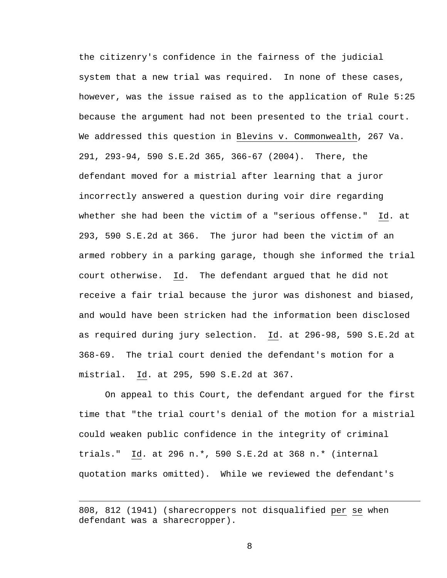the citizenry's confidence in the fairness of the judicial system that a new trial was required. In none of these cases, however, was the issue raised as to the application of Rule 5:25 because the argument had not been presented to the trial court. We addressed this question in Blevins v. Commonwealth, 267 Va. 291, 293-94, 590 S.E.2d 365, 366-67 (2004). There, the defendant moved for a mistrial after learning that a juror incorrectly answered a question during voir dire regarding whether she had been the victim of a "serious offense." Id. at 293, 590 S.E.2d at 366. The juror had been the victim of an armed robbery in a parking garage, though she informed the trial court otherwise. Id. The defendant argued that he did not receive a fair trial because the juror was dishonest and biased, and would have been stricken had the information been disclosed as required during jury selection. Id. at 296-98, 590 S.E.2d at 368-69. The trial court denied the defendant's motion for a mistrial. Id. at 295, 590 S.E.2d at 367.

On appeal to this Court, the defendant argued for the first time that "the trial court's denial of the motion for a mistrial could weaken public confidence in the integrity of criminal trials." Id. at 296 n.\*, 590 S.E.2d at 368 n.\* (internal quotation marks omitted). While we reviewed the defendant's

i<br>Li

<sup>808, 812 (1941) (</sup>sharecroppers not disqualified per se when defendant was a sharecropper).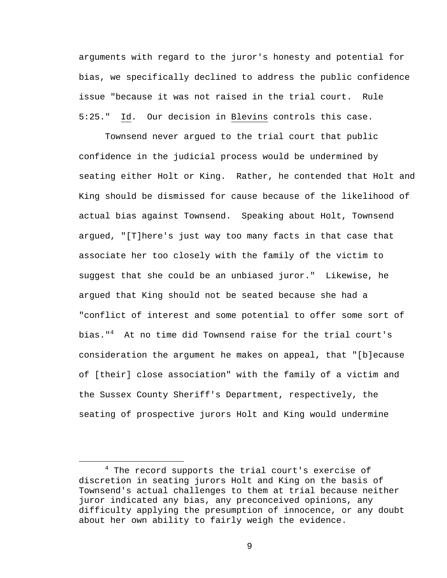arguments with regard to the juror's honesty and potential for bias, we specifically declined to address the public confidence issue "because it was not raised in the trial court. Rule 5:25." Id. Our decision in Blevins controls this case.

Townsend never argued to the trial court that public confidence in the judicial process would be undermined by seating either Holt or King. Rather, he contended that Holt and King should be dismissed for cause because of the likelihood of actual bias against Townsend. Speaking about Holt, Townsend argued, "[T]here's just way too many facts in that case that associate her too closely with the family of the victim to suggest that she could be an unbiased juror." Likewise, he argued that King should not be seated because she had a "conflict of interest and some potential to offer some sort of bias."<sup>4</sup> At no time did Townsend raise for the trial court's consideration the argument he makes on appeal, that "[b]ecause of [their] close association" with the family of a victim and the Sussex County Sheriff's Department, respectively, the seating of prospective jurors Holt and King would undermine

 $\overline{4}$  $4$  The record supports the trial court's exercise of discretion in seating jurors Holt and King on the basis of Townsend's actual challenges to them at trial because neither juror indicated any bias, any preconceived opinions, any difficulty applying the presumption of innocence, or any doubt about her own ability to fairly weigh the evidence.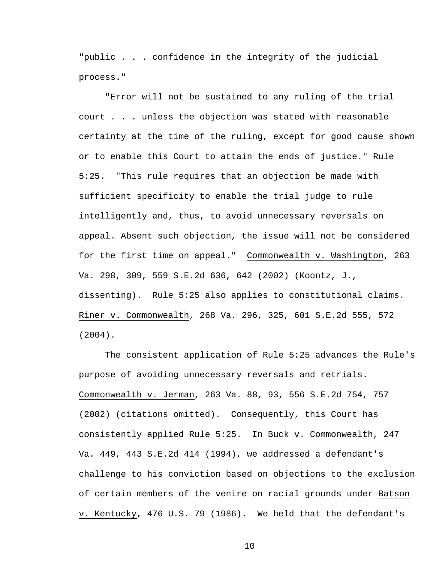"public . . . confidence in the integrity of the judicial process."

"Error will not be sustained to any ruling of the trial court . . . unless the objection was stated with reasonable certainty at the time of the ruling, except for good cause shown or to enable this Court to attain the ends of justice." Rule 5:25. "This rule requires that an objection be made with sufficient specificity to enable the trial judge to rule intelligently and, thus, to avoid unnecessary reversals on appeal. Absent such objection, the issue will not be considered for the first time on appeal." Commonwealth v. Washington, 263 Va. 298, 309, 559 S.E.2d 636, 642 (2002) (Koontz, J., dissenting). Rule 5:25 also applies to constitutional claims. Riner v. Commonwealth, 268 Va. 296, 325, 601 S.E.2d 555, 572 (2004).

The consistent application of Rule 5:25 advances the Rule's purpose of avoiding unnecessary reversals and retrials. Commonwealth v. Jerman, 263 Va. 88, 93, 556 S.E.2d 754, 757 (2002) (citations omitted). Consequently, this Court has consistently applied Rule 5:25. In Buck v. Commonwealth, 247 Va. 449, 443 S.E.2d 414 (1994), we addressed a defendant's challenge to his conviction based on objections to the exclusion of certain members of the venire on racial grounds under Batson v. Kentucky, 476 U.S. 79 (1986). We held that the defendant's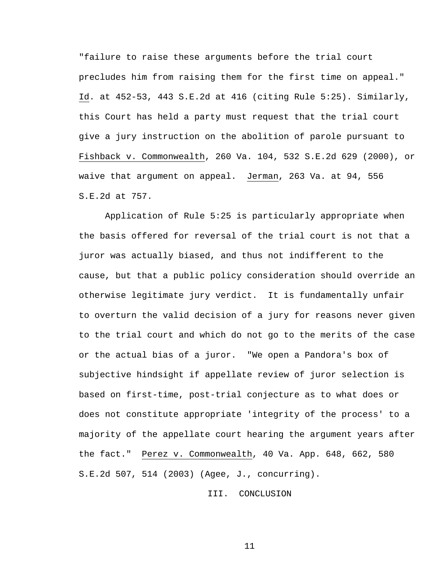"failure to raise these arguments before the trial court precludes him from raising them for the first time on appeal." Id. at 452-53, 443 S.E.2d at 416 (citing Rule 5:25). Similarly, this Court has held a party must request that the trial court give a jury instruction on the abolition of parole pursuant to Fishback v. Commonwealth, 260 Va. 104, 532 S.E.2d 629 (2000), or waive that argument on appeal. Jerman, 263 Va. at 94, 556 S.E.2d at 757.

Application of Rule 5:25 is particularly appropriate when the basis offered for reversal of the trial court is not that a juror was actually biased, and thus not indifferent to the cause, but that a public policy consideration should override an otherwise legitimate jury verdict. It is fundamentally unfair to overturn the valid decision of a jury for reasons never given to the trial court and which do not go to the merits of the case or the actual bias of a juror. "We open a Pandora's box of subjective hindsight if appellate review of juror selection is based on first-time, post-trial conjecture as to what does or does not constitute appropriate 'integrity of the process' to a majority of the appellate court hearing the argument years after the fact." Perez v. Commonwealth, 40 Va. App. 648, 662, 580 S.E.2d 507, 514 (2003) (Agee, J., concurring).

III. CONCLUSION